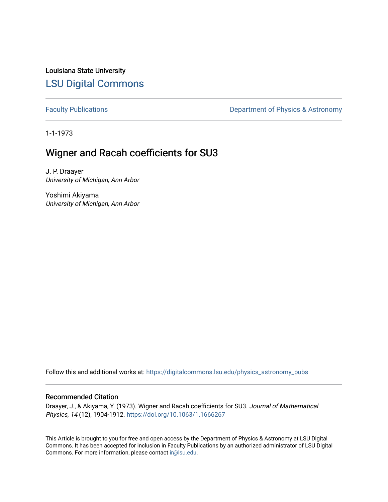Louisiana State University [LSU Digital Commons](https://digitalcommons.lsu.edu/)

[Faculty Publications](https://digitalcommons.lsu.edu/physics_astronomy_pubs) **Exercise 2** Constant Department of Physics & Astronomy

1-1-1973

# Wigner and Racah coefficients for SU3

J. P. Draayer University of Michigan, Ann Arbor

Yoshimi Akiyama University of Michigan, Ann Arbor

Follow this and additional works at: [https://digitalcommons.lsu.edu/physics\\_astronomy\\_pubs](https://digitalcommons.lsu.edu/physics_astronomy_pubs?utm_source=digitalcommons.lsu.edu%2Fphysics_astronomy_pubs%2F2042&utm_medium=PDF&utm_campaign=PDFCoverPages) 

# Recommended Citation

Draayer, J., & Akiyama, Y. (1973). Wigner and Racah coefficients for SU3. Journal of Mathematical Physics, 14 (12), 1904-1912. <https://doi.org/10.1063/1.1666267>

This Article is brought to you for free and open access by the Department of Physics & Astronomy at LSU Digital Commons. It has been accepted for inclusion in Faculty Publications by an authorized administrator of LSU Digital Commons. For more information, please contact [ir@lsu.edu](mailto:ir@lsu.edu).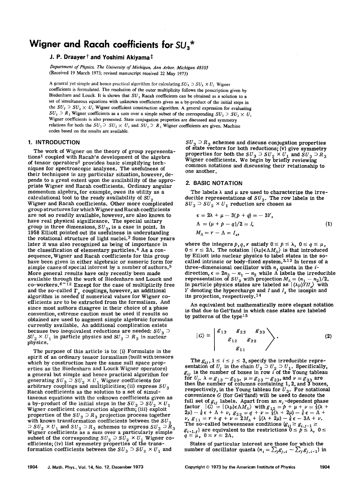# **Wigner and Racah coefficients for** SU*3* \*

## J. P. Draayer  $\dagger$  and Yoshimi Akiyama  $\dagger$

*Department 0/ Physics, The University 0/ Michigan, Ann Arbor, Michigan 48105*  (Received 19 March 1973; revised manuscript received 22 May 1973)

A general yet simple and hence practical algorithm for calculating  $SU_3 \supset SU_2 \times U_1$  Wigner coefficients is formulated. The resolution of the outer multiplicity follows the prescription given by Biedenharn and Louck. It is shown that  $SU_3$  Racah coefficients can be obtained as a solution to a set of simultaneous equations with unknown coefficients given as a by-product of the initial steps in the  $SU_3 \supset SU_2 \times U_1$  Wigner coefficient construction algorithm. A general expression for evaluating  $SU_3 \supset R_3$  Wigner coefficients as a sum over a simple subset of the corresponding  $SU_3 \supset SU_2 \times U_1$ Wigner coefficients is also presented. State conjugation properties are discussed and symmetry relations for both the  $SU_3 \supset SU_2 \times U_1$  and  $SU_3 \supset R_3$  Wigner coefficients are given. Machine codes based on the results are available.

### 1. INTRODUCTION

The work of Wigner on the theory of group representations<sup>1</sup> coupled with Racah's development of the algebra of tensor operators2 provides basic simplifying techniques for spectroscopic analyses. The usefulness of their techniques in any particular situation, however, depends to a great extent upon the availability of the appropriate Wigner and Racah coefficients. Ordinary angular momentum algebra, for example, owes its utility as a calculational tool to the ready availability of  $SU_2$ Wigner and Racah coefficients. Other more complicated group structures for which Wigner and Racah coefficients are not so readily available, however, are also known to have real physical significance. The special unitary group in three dimensions,  $SU_3$ , is a case in point. In 1958 Elliott pointed out its usefulness in understanding the rotational structure of light nuclei.<sup>3</sup> Some four years later it was also recognized as being of importance in the classification of elementary particles.<sup>4</sup> As a consequence, Wigner and Racah coefficients for this group have been given in either algebraic or numeric form for simple cases of special interest by a number of authors. <sup>5</sup> More general results have only recently been made available through the work of Biedenharn and Louck and co-workers.<sup> $6 - 12$ </sup> Except for the case of multiplicity free and the so-called  $\Gamma_s$  couplings, however, an additional algorithm is needed if numerical values for Wigner coefficients are to be extracted from the formalism. And since most authors disagree in their choice of a phase convention, extreme caution must be used if results so obtained are used to augment simple algebraic formulas currently available. An additional complication exists because two inequivalent reductions are needed:  $SU_3$   $\supset$  $SU_2 \times U_1$  in particle physics and  $SU_3 \supset R_3$  in nuclear physics.

The purpose of this article is to: (i) Formulate in the spirit of an ordinary tensor formalism (built with tensors which by construction have the same null space properties as the Biedenharn and Louck Wigner operators) a general but Simple and hence practical algorithm for generating  $SU_3 \supset SU_2 \times U_1$  Wigner coefficients for arbitrary couplings and multiplicities; (ii) express  $SU_3$ Racah coefficients as the solution to a set of simultaneous equations with the unknown coefficients given as a by-product of the initial steps in the  $SU_3 \supseteq SU_2 \times U_1$ <br> $SU_3 \times U_2$ Wigner coefficient construction algorithm; (iii) exploit properties of the  $SU_3 \supset R_3$  projection process together with known transformation coefficients between the  $SU_3$  $\supset SU_2 \times U_1$  and  $SU_3 \supset R_3$  schemes to express  $SU_3 \supset R_3$ <br>Wigner coefficients as a sum over a particularly simple subset of the corresponding  $SU_3 \supset SU_2 \times U_1$  Wigner co-<br>efficients; (iv) list symmetry properties of the transefficients; (iv) list symmetry properties of the trans-<br>formation coefficients between the  $SU_3 \supset SU_2 \times U_1$  and

 $SU_3 \supset R_3$  schemes and discuss conjugation properties of state vectors for both reductions; (v) give symmetry properties for both the  $SU_3 \supset SU_2 \times U_1$  and  $SU_3 \supset R_3$  Wigner coefficients. We begin by briefly reviewing common notations and discussing their relationship to one another.

#### 2. BASIC NOTATION

The labels  $\lambda$  and  $\mu$  are used to characterize the irreducible representations of  $SU_3$ . The row labels in the  $SU_3$   $\supset$   $SU_2$   $\times$   $U_1$  reduction are chosen as

$$
\epsilon = 2\lambda + \mu - 3(p + q) = -3Y,
$$
  
\n
$$
\Lambda = (\mu + p - q)/2 = I,
$$
  
\n
$$
M_{\Lambda} = r - \Lambda = I_z,
$$
\n(1)

where the integers  $p, q, r$  satisfy  $0 \le p \le \lambda$ ,  $0 \le q \le \mu$ ,  $0 \le r \le 2\Lambda$ . The notation  $|(\lambda\mu)\epsilon\Lambda M_{\Lambda}\rangle$  is that introduced by Elliott into nuclear physics to label states in the socalled intrinsic or body-fixed system.<sup>3,13</sup> In terms of a three-dimensional oscillator with  $n_i$  quanta in the  $i$ direction,  $\epsilon = 2n_3 - n_1 - n_2$  while A labels the irreducible representation of  $SU_2$  with projection  $M_A = (n_1 - n_2)/2$ .<br>In particle physics states are labeled as  $|(\lambda \mu)YII_z\rangle$  with *Y* denoting the hypercharge and *I* and *Iz* the isospin and its projection, respectively.14

An equivalent but mathematically more elegant notation is that due to Gel 'fand in which case states are labeled by patterns of the type $15$ 

$$
|G\rangle \equiv \begin{pmatrix} \mathcal{E}_{13} & \mathcal{E}_{23} & \mathcal{E}_{33} \\ & \mathcal{E}_{12} & \mathcal{E}_{22} \\ & & \mathcal{E}_{11} \end{pmatrix}.
$$
 (2)

The  $g_{ij}$ ,  $1 \le i \le j \le 3$ , specify the irreducible representation of  $U_j$  in the chain  $U_3 \supset U_2 \supset U_1$ . Specifically,  $g_{ij}$  is the number of boxes in row i of the Young tableau for  $U_j$ ,  $\lambda = g_{13} - g_{23}$ ,  $\mu = g_{23} - g_{33}$ , and  $\nu = g_{33}$  are then the number of columns containing 1, 2, and 3 boxes, respectively, in the Young tableau for  $U_3$ . For notational convenience  $G$  (for Gel'fand) will be used to denote the full set of  $g_{ij}$  labels. Apart from an  $n_i$ -dependent phase factor  $|G| = |\langle \lambda \mu \rangle \epsilon \Lambda M_{\Lambda} \rangle$  with  $g_{12} = p + \mu + \nu = \frac{1}{3}(\lambda + \mu)$  $2\mu$ )  $-\frac{1}{6}\epsilon + \Lambda + \nu, g_{22} = q + \nu = \frac{1}{3}(\lambda + 2\mu) - \frac{1}{6}\epsilon - \Lambda +$  $\nu, g_{11} = r + q + \nu = 2M_A + \frac{1}{3}(\lambda + 2\mu) - \frac{1}{6}\epsilon - 3\Lambda + \nu.$ The so-called betweenness conditions  $(g_{ij} \ge g_{i,j-1})$  $g_{i+1,j}$  are equivalent to the restrictions  $0 \le p \le \lambda$ ,  $0 \le q \le \mu$ ,  $0 \le r \le 2\Lambda$ .

States of particular interest are those for which the number of oscillator quanta  $(n_i = \sum_j g_{j,i} - \sum_j g_{j,i-1})$  in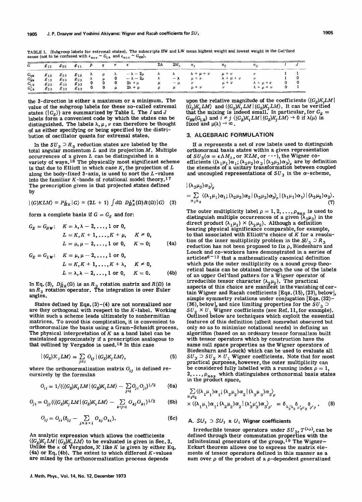| G                                              | $g_{12}$                                     | $g_{22}$                                              | $g_{11}$                         | $P$ a   |                                                                                                                                  | 2Λ        | $2M_{\Lambda}$    | $n_{1}$                                                  | $n_{\Omega}$                                        |                                                |  |
|------------------------------------------------|----------------------------------------------|-------------------------------------------------------|----------------------------------|---------|----------------------------------------------------------------------------------------------------------------------------------|-----------|-------------------|----------------------------------------------------------|-----------------------------------------------------|------------------------------------------------|--|
| $G_{HW}$<br>$G'_{HW}$<br>$G_{LW}$<br>$G'_{LW}$ | $g_{13}$<br>$g_{13}$<br>$g_{23}$<br>$g_{23}$ | $g_{23}$ $g_{13}$<br>$g_{23}$<br>$g_{33}$<br>$g_{33}$ | $g_{23}$<br>$g_{33}$<br>$g_{23}$ | $0 \mu$ | $\lambda$ $\mu$ $\lambda$ $-\lambda - 2\mu$<br>$\mu$ 0 $-\lambda - 2\mu$<br>$0 \quad 0 \quad 2\lambda + \mu$<br>$2\lambda + \mu$ | $\lambda$ | $-\lambda$<br>— u | $\lambda$ $\lambda$ $\lambda + \mu + \nu$<br>$\mu + \nu$ | $\mu + \nu$<br>$\lambda + \mu + \nu$<br>$\mu + \nu$ | $\lambda + \mu + \nu$<br>$\lambda + \mu + \nu$ |  |

TABLE I. (Subgroup labels for extremal states). The subscripts HW and LW mean highest weight and lowest weight in the Gel'fand sense (not to be confused with  $\epsilon_{\text{max}} \sim G_{LW}$  and  $\epsilon_{\text{min}} \sim G_{HW}$ ).

the 3-direction is either a maximum or a minimum. The value of the subgroup labels for these so-called extremal states  $(|G_E\rangle)$  are summarized by Table I. The *I* and *J* labels form a convenient code by which the states can be distinguished. The labels  $\lambda, \mu, \nu$  can therefore be thought of as either specifying or being specified by the distribution of oscillator quanta for extremal states.

In the  $SU_3 \supset R_3$  reduction states are labeled by the total angular momentum  $L$  and its projection  $M$ . Multiple  $occurrences of a given L can be distinguished in a$ variety of ways.<sup>16</sup> The physically most significant scheme is that due to Elliott in which case  $K$ , the projection of  $L$ along the body-fixed  $3$ -axis, is used to sort the  $L$ -values into the familiar  $K$ -bands of rotational model theory.<sup>17</sup> The prescription given is that projected states defined by

$$
|(G)KLM\rangle \equiv P_{MK}^I|G\rangle \equiv (2L+1)\int d\Omega\ D_{MK}^{I*}(\Omega)R(\Omega)|G\rangle \quad (3)
$$

form a complete basis if  $G = G_E$  and for:

$$
G_E = G_{HW}: \quad K = \lambda, \lambda - 2, ..., 1 \text{ or } 0,
$$
  
\n
$$
L = K, K + 1, ..., K + \mu, \quad K \neq 0,
$$
  
\n
$$
L = \mu, \mu - 2, ..., 1 \text{ or } 0, \quad K = 0;
$$
 (4a)

$$
G_E = G_{LW}: K = \mu, \mu - 2, ..., 1 \text{ or } 0,
$$
  
\n
$$
L = K, K + 1, ..., K + \lambda, K \neq 0,
$$
  
\n
$$
L = \lambda, \lambda - 2, ..., 1 \text{ or } 0, K = 0.
$$
 (4b)

In Eq. (3),  $D_{MK}^L(\Omega)$  is an  $R_3$  rotation matrix and  $R(\Omega)$  is an  $R_3$  rotation operator. The integration is over Euler angles.

States defined by Eqs.  $(3)-(4)$  are not normalized nor are they orthogonal with respect to the K-Iabel. Working within such a scheme leads ultimately to nonhermitian matrices. To avoid this complication, it is convenient to orthonormalize the basis using a Gram-Schmidt process. The physical interpretation of  $K$  as a band label can be maintained approximately if a prescription analogous to that outlined by Vergados is used.<sup>18</sup> In this case

$$
|(G_E)\mathcal{K}_i LM\rangle = \sum_{j \leq i} O_{ij} |(G_E)K_j LM\rangle, \qquad (5)
$$

where the orthonormalization matrix  $O_{ij}$  is defined recursively by the formulas

$$
O_{ii} = 1/(\langle (G_E)K_i LM | (G_E)K_i LM \rangle - \sum_{j (6a)
$$

$$
O_{j i} = O_{j j} \left( \left( (G_E) K_j L M \right) (G_E) K_i L M \right) - \sum_{k < j < i} O_{k j} O_{k i} \right)^{1/2} \tag{6b}
$$

$$
O_{ij} = O_{ii} (\delta_{ij} - \sum_{j \leq k < i} O_{kj} O_{ki}). \tag{6c}
$$

An analytic expression which allows the coefficients  $\langle (G_E)K_iLM | (G_E)K_iLM \rangle$  to be evaluated is given in Sec. 3. Unlike the  $\kappa$  of Vergados,  $\mathcal K$  like  $K$  is given by either Eq. (4a) or Eq. (4b). The extent to which different  $K$ -values are mixed by the orthonormalization process depends

upon the relative magnitude of the coefficients  $\langle (G_{\scriptscriptstyle F})K_{\scriptscriptstyle I}L M \, |$  $\langle G_E \rangle K_i LM \rangle$  and  $\langle \langle G_E \rangle K_i LM \vert \langle G_E \rangle K_j LM \rangle$ . It can be verified that the mixing is indeed small. In particular, for  $G_E = G_{HW}(G_L)$  and  $i \neq j$   $\langle \langle G_E \rangle K_i LM \vert \langle G_E \rangle K_j LM \rangle \rightarrow 0$  if  $\lambda(\mu)$  is  $G_{HW}(G_{L,W})$  and  $i \neq j$   $\langle (G_E)K_i LM | (G_E)K_j LM \rangle \rightarrow 0$  if  $\lambda(\mu)$  is fixed and  $\mu(\lambda) \rightarrow \infty$ .

#### 3. ALGEBRAIC FORMULATION

If  $\alpha$  represents a set of row labels used to distinguish orthonormal basis states within a given representation of  $SU_3(\alpha) = \epsilon \Lambda M_\Lambda$ , or  $\mathcal{K}LM$ , or  $\cdots$ , the Wigner coefficients  $\langle (\lambda_1 \mu_1) \alpha_1; (\lambda_2 \mu_2) \alpha_2 | (\lambda_3 \mu_3) \alpha_3 \rangle$  are by definition the elements of a unitary transformation between coupled and uncoupled representations of  $SU_3$  in the  $\alpha$ -scheme,

$$
|\langle \lambda_3 \mu_3 \rangle \alpha_3 \rangle_{\rho}
$$
  
=  $\sum_{\alpha_1 \alpha_2} \langle \langle \lambda_1 \mu_1 \rangle \alpha_1; (\lambda_2 \mu_2) \alpha_2 | (\lambda_3 \mu_3) \alpha_3 \rangle_{\rho} | (\lambda_1 \mu_1) \alpha_1 \rangle | (\lambda_2 \mu_2) \alpha_2 \rangle$ . (7)

The outer multiplicity label  $\rho = 1, 2, ..., \rho_{\text{max}}$  is used to distinguish multiple occurrences of a given  $(\lambda_3\mu_3)$  in the direct product  $(\lambda_1 \mu_1) \times (\lambda_2 \mu_2)$ . Although a definition bearing physical significance comparable, for example, to that associated with Elliott's choice of K for a resolution of the inner multiplicity problem in the  $SU_3 \supset R_3$ reduction has not been proposed to fix  $\rho$ , Biedenharn and Louck and co-workers have demonstrated in a series of articles $6 - 12$  that a mathematically canonical definition which puts the outer multiplicity on a sound group theoretical basis can be obtained through the use of the labels of an upper Gel'fand pattern for a Wigner operator of irreducible tensor character  $(\lambda_2 \mu_2)$ . The practical aspects of this choice are manifest in the vanishing of certain Wigner and Racah coefficients [Eqs. (15), (23), below], simple symmetry relations under conjugation [Eqs. (32)- (36), below], and nice limiting properties for the  $SU_3 \supset$  $SU_2$ <sup>2</sup> ×  $U_1$  Wigner coefficients (see Ref. 11, for example). Outlined below are techniques which exploit the essential features of this definition (albeit somewhat obscured but only so as to minimize notational needs) in defining an algorithm (based on an ordinary tensor formalism built with tensor operators which by construction have the same null space properties as the Wigner operators of Biedenharn and Louck) which can be used to evaluate all  $SU_3$   $\supset$   $SU_2$   $\times$   $U_1$  Wigner coefficients. Note that for most practical purposes, however, the outer multiplicity can be considered fully labelled with a running index  $\rho = 1$ , 2, ...,  $\rho_{\text{max}}$  which distinguishes orthonormal basis states in the product space,

$$
\sum_{\alpha_1 \alpha_2} \langle (\lambda_1 \mu_1) \alpha_1; (\lambda_2 \mu_2) \alpha_2 | (\lambda_3 \mu_3) \alpha_3 \rangle_{\rho}
$$
  
×  $\langle (\lambda_1 \mu_1) \alpha_1; (\lambda_2 \mu_2) \alpha_2 | (\lambda'_3 \mu'_3) \alpha_3 \rangle_{\rho'}$  =  $\delta_{\lambda'_3 \lambda_3} \delta_{\mu'_3 \mu'_3} \delta_{\rho' \rho}$ . (8)

### A.  $SU_3$   $\supset$   $SU_2$  x  $U_1$  Wigner coefficients

Irreducible tensor operators under  $SU_3$ ,  $T^{(\lambda\mu)}$ , can be defined through their commutation properties with the infinitesimal generators of the group.19 The Wigner-Eckart theorem allows one to express the matrix elesum over  $\rho$  of the product of a  $\rho$ -dependent generalized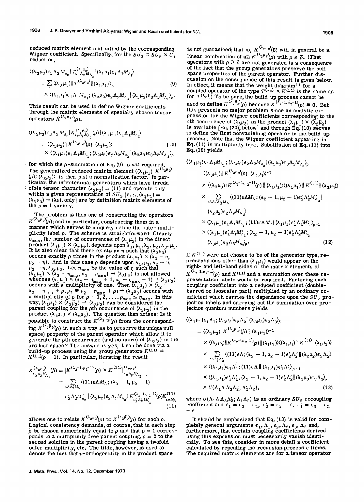reduced matrix element multiplied by the corresponding Wigner coefficient. Specifically, for the  $SU_3 \supset SU_2 \times U_1$ reduction,

$$
\langle (\lambda_3 \mu_3) \epsilon_3 \Lambda_3 M_{\Lambda_3} | T_{\epsilon_2 \lambda_2 M_{\Lambda_2}}^{(\lambda_2 \mu_2)} | (\lambda_1 \mu_1) \epsilon_1 \Lambda_1 M_{\Lambda_1} \rangle
$$
  
=  $\sum_{\rho} \langle (\lambda_3 \mu_3) || T^{(\lambda_2 \mu_2)} || (\lambda_1 \mu_1) \rangle_{\rho}$  (9)  
 $\times \langle (\lambda_1 \mu_1) \epsilon_1 \Lambda_1 M_{\Lambda_1}; (\lambda_2 \mu_2) \epsilon_2 \Lambda_2 M_{\Lambda_2} | (\lambda_3 \mu_3) \epsilon_3 \Lambda_3 M_{\Lambda_3} \rangle_{\rho}.$ 

This result can be used to define Wigner coefficients through the matrix elements of specially chosen tensor operators  $K^{(\lambda_2 \mu_2)}(\rho)$ ,

$$
\langle (\lambda_3 \mu_3) \epsilon_3 \Lambda_3 M_{\Lambda_3} | K_{\epsilon_2 \lambda_2}^{(\lambda_2 \mu_2)}(\rho) | (\lambda_1 \mu_1) \epsilon_1 \Lambda_1 M_{\Lambda_1} \rangle
$$
  
= 
$$
\langle (\lambda_3 \mu_3) || K^{(\lambda_2 \mu_2)}(\rho) || (\lambda_1 \mu_1) \rangle
$$
  
 
$$
\times \langle (\lambda_1 \mu_1) \epsilon_1 \Lambda_1 M_{\Lambda_1} ; (\lambda_2 \mu_2) \epsilon_2 \Lambda_2 M_{\Lambda_2} | (\lambda_3 \mu_3) \epsilon_3 \Lambda_3 M_{\Lambda_3} \rangle_{\rho}
$$
 (10)

for which the  $\rho$ -summation of Eq. (9) is *not* required. The generalized reduced matrix element  $\langle (\lambda_1 \mu_1) || K^{(\lambda_2 \mu_2)}$  $(\rho)$  $\|\langle \tilde{\lambda}_3\mu_3\rangle\rangle$  is then just a normalization factor. In particular, the infinitesimal generators which have irredu cible tensor character  $(\lambda_2 \mu_2) = (11)$  and operate only within a given representation of  $SU_3$  [e.g.,  $(\lambda_1\mu_1)$  =  $(\lambda_3 \mu_3) = (\lambda \mu)$ , only] are by definition matrix elements of the  $\rho = 1$  variety.

The problem is then one of constructing the operators  $K^{(\lambda_2\mu_2)}(p)$ ; and in particular, constructing them in a manner which serves to uniquely define the outer multiplicity label p. The scheme is straightforward: Clearly  $\rho_{\text{max}}$ , the number of occurrences of  $(\lambda_3\mu_3)$  in the direct product  $(\lambda_1\mu_1) \times (\lambda_2\mu_2)$ , depends upon  $\lambda_1$ ,  $\mu_1$ ,  $\lambda_2$ ,  $\mu_2$ ,  $\lambda_3$ ,  $\mu_3$ .<br>It is also clear that there exists an  $\eta$  such that  $(\lambda_3\mu_3)$ occurs exactly  $\rho$  times in the product  $(\lambda_1 \mu_1) \times (\lambda_2 - \eta, \mu_2 - \eta)$ . And in this case  $\rho$  depends upon  $\lambda_1, \mu_1, \lambda_2 - \eta$ ,  $\mu_2 - \eta, \lambda_3, \mu_3$ . Let  $\eta_{\text{max}}$  be the value of  $\eta$  such that  $(\lambda_1\mu_1) \times (\lambda_2 - \eta_{\text{max}}, \mu_2 - \eta_{\text{max}}) \rightarrow (\lambda_3\mu_3)$  is not allowed whereas  $(\lambda_1\mu_1) \times (\lambda_2 - \eta_{\text{max}} + 1, \mu_2 - \eta_{\text{max}} + 1) \rightarrow (\lambda_3 \mu_3)$ occurs with a multiplicity of one. Then  $(\lambda_1^2 \mu_1) \times (\lambda_2^2 \mu_1)$  $\lambda_2 - \eta_{\text{max}} + \rho, \bar{\mu}_2 = \mu_2 - \eta_{\text{max}} + \rho) \rightarrow (\lambda_3 \mu_3)$  occurs with a multiplicity of  $\rho$  for  $\rho = 1, 2, ..., \rho_{\text{max}} \le \eta_{\text{max}}$ . In this way,  $(\lambda_1\mu_1) \times (\lambda_2\bar{\mu}_2) \rightarrow (\lambda_3\mu_3)$  can be considered the parent coupling for the *p*th occurrence of  $(\lambda_3\mu_3)$  in the product  $(\lambda_1\mu_1) \times (\lambda_2\mu_2)$ . The question then arises: Is it possible to construct the  $K^{(\lambda_2\mu_2)}(\rho)$  from the corresponding  $K^{(\bar{\lambda}_2 \bar{\mu}_2)}(\rho)$  in such a way as to preserve the unique null space) property of the parent operator which allow it to generate the oth occurrence (and no more) of  $(\lambda_3\mu_3)$  in the product space? The answer is yes, it can be done via a build-up process using the group generators  $K^{(11)} \equiv$  $K^{(11)}(\rho = 1)$ . In particular, iterating the result

$$
K_{\epsilon_{2}\Lambda_{2}M_{\Lambda_{2}}}^{(\lambda_{2}\mu_{2})}(\vec{\rho}) = [K^{(\lambda_{2}-1,\mu_{2}-1)}(\rho) \times K^{(11)}]_{\epsilon_{2}\Lambda_{2}M_{\Lambda_{2}}}^{(\lambda_{2}\mu_{2})}
$$
  
\n
$$
= \sum_{\epsilon \Lambda \Lambda_{2}M_{\Lambda}} \langle (11)\epsilon \Lambda M_{\Lambda}; (\lambda_{2}-1,\mu_{2}-1) \rangle
$$
  
\n
$$
\epsilon_{2}'\Lambda_{2}'M_{\Lambda_{2}}' | (\lambda_{2}\mu_{2})\epsilon_{2}\Lambda_{2}M_{\Lambda_{2}}' \times K_{\epsilon_{2}'\Lambda_{2}'}^{(\lambda_{2}-1,\mu_{2}-1)}(\rho)K_{\epsilon\Lambda M_{\Lambda}}^{(11)}
$$
  
\n(11)

allows one to relate  $K^{(\lambda_2 \mu_2)}(\rho)$  to  $K^{(\overline{\lambda}_2 \overline{\mu}_2)}(\rho)$  for each  $\rho$ . Logical consistency demands, of course, that in each step  $\tilde{\rho}$  be chosen numerically equal to  $\rho$  and that  $\rho = 1$  corresponds to a multiplicity free parent coupling,  $\rho = 2$  to the second solution in the parent coupling having a twofold outer multiplicity, etc. The tilde, however, is used to denote the fact that  $\rho$ -orthogonality in the product space

is not guaranteed; that is,  $K^{(\lambda_2 \mu_2)}(\bar{\rho})$  will in general be a linear combination of all  $K^{(\lambda_2 \mu_2)}(p)$  with  $\rho \leq \tilde{\rho}$ . (That operators with  $\rho > \tilde{\rho}$  are not generated is a consequence of the fact that the group generators preserve the null space properties of the parent operator. Further discussion on the consequence of this result is given below. cussion on the consequence of this result is given<br>In effect, it means that the weight diagram<sup>11</sup> for a coupled operator of the type  $T^{(\lambda\mu)} \times K^{(11)}$  is the same as for  $T^{(\lambda\mu)}$ .) To be sure, the build-up process cannot be used to define  $K^{(\lambda_2 \bar{\mu}_2)}(\rho)$  because  $K^{(\lambda_2 - 1, \bar{\mu}_2 - 1)}(\rho) \equiv 0$ . But this presents no major problem since an analytic expression for the Wigner coefficients corresponding to the pth occurrence of  $(\lambda_3\mu_3)$  in the product  $(\lambda_1\mu_1) \times (\overline{\lambda}_2\overline{\mu}_2)$  is available [Eq. (20), below] and through Eq. (10) serves to define the first nonvanishing operator in the build-up process. Note that the Wigner coefficient appearing in Eq. (11) is multiplicity free. Substitution of Eq. (11) into  $Eq. (10)$  yields

$$
\langle (\lambda_1 \mu_1) \epsilon_1 \Lambda_1 M_{\Lambda_1}; (\lambda_2 \mu_2) \epsilon_2 \Lambda_2 M_{\Lambda_2} | (\lambda_3 \mu_3) \epsilon_3 \Lambda_3 M_{\Lambda_3} \rangle_{\tilde{\rho}}
$$
  
\n
$$
= \langle (\lambda_3 \mu_3) || K^{(\lambda_2 \mu_2)}(\tilde{\rho}) || (\lambda_1 \mu_1) \rangle^{-1}
$$
  
\n
$$
\times \langle (\lambda_3 \mu_3) || K^{(\lambda_2 - 1, \mu_2 - 1)}(\rho) || (\lambda_1 \mu_1) \rangle \langle (\lambda_1 \mu_1) || K^{(11)} || (\lambda_1 \mu_1) \rangle
$$
  
\n
$$
\times \sum_{\epsilon \Lambda \Lambda_1' \Lambda_2' M_{\Lambda}} \langle (11) \epsilon \Lambda M_{\Lambda} ; (\lambda_2 - 1, \mu_2 - 1) \epsilon_2' \Lambda_2' M_{\Lambda_2}' |
$$
  
\n
$$
(\lambda_2 \mu_2) \epsilon_2 \Lambda_2 M_{\Lambda_2'} \rangle
$$
  
\n
$$
\times \langle (\lambda_1 \mu_1) \epsilon_1 \Lambda_1 M_{\Lambda_1}; (11) \epsilon \Lambda M_{\Lambda} | (\lambda_1 \mu_1) \epsilon_1' \Lambda_1' M_{\Lambda_1'}' \rangle_{\rho = 1}
$$
  
\n
$$
\times \langle (\lambda_1 \mu_1) \epsilon_1' \Lambda_1' M_{\Lambda_1}'; (\lambda_2 - 1, \mu_2 - 1) \epsilon_2' \Lambda_2' M_{\Lambda_2}' |
$$
  
\n
$$
(\lambda_3 \mu_3) \epsilon_3 \Lambda_3 M_{\Lambda_3'} \rangle_{\rho}.
$$
  
\n(12)

If  $K^{(11)}$  were not chosen to be of the generator type, representations other than  $(\lambda_1 \mu_1)$  would appear on the right- and left-hand sides of the matrix elements of  $K^{(\lambda_2-1,\mu_2-1)}(\rho)$  and  $K^{(11)}$  and a summation over these representation labels would be required. Factoring each coupling coefficient into a reduced coefficient (doublebarred or isoscalar part) multiplied by an ordinary coefficient which carries the dependence upon the  $SU<sub>2</sub>$  projection labels and carrying out the summation over projection quantum numbers yields

$$
\langle (\lambda_1 \mu_1) \epsilon_1 \Lambda_1; (\lambda_2 \mu_2) \epsilon_2 \Lambda_2 \| (\lambda_3 \mu_3) \epsilon_3 \Lambda_3 \rangle_{\tilde{\rho}} \n= \langle (\lambda_3 \mu_3) \| K^{\Lambda_2 \mu_2}(\tilde{\rho}) \| (\lambda_1 \mu_1)^{\lambda_1} \n\times \langle (\lambda_3 \mu_3) \| K^{\Lambda_2^{-1} \mu_2^{-1}}(\rho) \| (\lambda_1 \mu_1) \rangle (\lambda_1 \mu_1) \| K^{(11)} \| (\lambda_1 \mu_1) \rangle \n\times \sum_{\epsilon \Lambda \Lambda_1' \Lambda_2'} \langle (11) \epsilon \Lambda; (\lambda_2 - 1, \mu_2 - 1) \epsilon_2' \Lambda_2' \| (\lambda_2 \mu_2) \epsilon_2 \Lambda_2 \rangle \n\times \langle (\lambda_1 \mu_1) \epsilon_1 \Lambda_1'; (11) \epsilon \Lambda \| (\lambda_1 \mu_1) \epsilon_1' \Lambda_1' \rangle_{\rho = 1} \n\times \langle (\lambda_1 \mu_1) \epsilon_1' \Lambda_1'; (\lambda_2 - 1, \mu_2 - 1) \epsilon_2' \Lambda_2' \| (\lambda_3 \mu_3) \epsilon_3 \Lambda_3 \rangle_{\rho} \n\times U(\Lambda_1 \Lambda \Lambda_3 \Lambda_2'; \Lambda_1' \Lambda_2),
$$
\n(13)

where  $U(\Lambda_1 \Lambda \Lambda_3 \Lambda_2; \Lambda_1 \Lambda_2)$  is an ordinary  $SU_2$  recoupling coefficient and  $\epsilon_1 = \epsilon_3 - \epsilon_2$ ,  $\epsilon_2' = \epsilon_2 - \epsilon$ ,  $\epsilon_1' = \epsilon_3 - \epsilon_2$  $+$   $\epsilon$ .

It should be emphasized that Eq. (13) is valid for completely general arguments  $\epsilon_1$ ,  $\Lambda_1$ ,  $\epsilon_2$ ,  $\Lambda_2$ ,  $\epsilon_3$ ,  $\Lambda_3$  and, furthermore, that certain coupling coefficients derived using this expression must necessarily vanish identically. To see this, consider in more detail a coefficient calculated by repeating the recursion process  $\eta$  times. The required matrix elements are for a tensor operator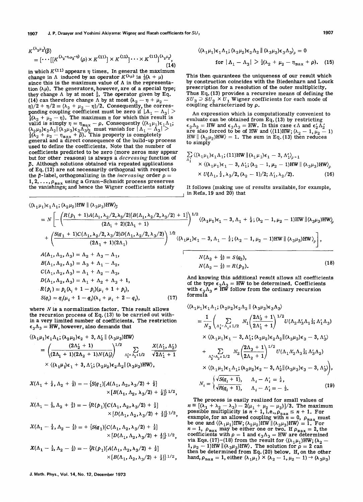$$
K^{(\lambda_2\mu_2)}(\tilde{p}) = [\cdots[[K^{(\lambda_2-\eta,\mu_2-\eta)}(\rho)\times K^{(11)}]\times K^{(11)}]\cdots\times K^{(11)}]^{(\lambda_2\mu_2)},
$$
\n(14)

in which  $K^{(11)}$  appears  $\eta$  times. In general the maximum change in  $\Lambda$  induced by an operator  $K^{(\lambda\mu)}$  is  $\frac{1}{2}(\lambda + \mu)$ since this is the maximum value of  $\Lambda$  in the representation  $(\lambda \mu)$ . The generators, however, are of a special type; they change  $\Lambda$  by at most  $\frac{1}{2}$ . The operator given by Eq. (14) can therefore change  $\Lambda$  by at most ( $\lambda_2 - \eta + \mu_2$  - $\eta/2 + \eta/2 = (\lambda_2 + \mu_2 - \eta)/2$ . Consequently, the corresponding coupling coefficient must be zero if  $|\Lambda_1 - \Lambda_3|$  >  $\frac{1}{2}(\lambda_2 + \mu_2 - \eta)$ . The maximum  $\eta$  for which this result is valid is simply  $\eta = \eta_{\text{max}} - \rho$ . Consequently  $\langle (\lambda_1 \mu_1)\epsilon_1 \lambda_1;$  $(\lambda_2 \mu_2)\epsilon_2 \Lambda_2 || (\lambda_3 \mu_3)\epsilon_3 \Lambda_3 \rangle_{\tilde{p}}$  must vanish for  $|\Lambda_1 - \Lambda_3| > \frac{1}{2}(\lambda_2 + \mu_2 - \eta_{\max} + \tilde{\rho})$ . This property is completely general and a direct consequence of the build-up process used to define the coefficients. Note that the number of coefficients predicted to be zero (more zeros may appear but for other reasons) is always a *decreasing* function of  $\delta$ . Although solutions obtained via repeated applications of Eq. (13) are not necessarily orthogonal with respect to the  $\tilde{p}$ -label, orthogonalizing in the *increasing* order  $\rho =$  $1, 2, \ldots, \rho_{\max}$  using a Gram-Schmidt process preserves the vanishings; and hence the Wigner coefficients satisfy

----------------------------------------------~

 $\langle (\lambda_1 \mu_1) \epsilon_1 \Lambda_1; (\lambda_2 \mu_2) H W || (\lambda_3 \mu_3) H W \rangle_{\tilde{a}}$ 

$$
\langle (\lambda_1 \mu_1) \epsilon_1 \Lambda_1; (\lambda_2 \mu_2) \epsilon_2 \Lambda_2 \parallel (\lambda_3 \mu_3) \epsilon_3 \Lambda_3 \rangle_{\rho} = 0
$$
  
for  $|\Lambda_1 - \Lambda_3| > \frac{1}{2} (\lambda_2 + \mu_2 - \eta_{\text{max}} + \rho).$  (15)

This then quarantees the uniqueness of our result which by construction coincides with the Biedenharn and Louck prescription for a resolution of the outer multiplicity. Thus Eq. (13) provides a recursive means of defining the  $SU_3 \supset SU_2 \times U_1$  Wigner coefficients for each mode of coupling characterized by  $\rho$ .

An expression which is computationally convenient to evaluate can be obtained from Eq. (13) by restricting  $\epsilon_2\Lambda_2$  = HW and  $\epsilon_3\Lambda_3$  = HW. In this case  $\epsilon\Lambda$  and  $\epsilon_2'\Lambda_2'$ are also forced to be of HW and  $\langle (11)$ HW;  $(\lambda_2 - 1, \mu_2 - 1)$ HW  $\| (\lambda_2 \mu_2)$ HW $\rangle = 1$ . The sum in Eq. (13) then reduces to simply

$$
\sum_{\Lambda_1'} \langle (\lambda_1 \mu_1) \epsilon_1 \Lambda_1; (11)\text{HW} \parallel (\lambda_1 \mu_1) \epsilon_1 - 3, \Lambda_1' \rangle_{\rho=1}
$$
  
×  $\langle (\lambda_1 \mu_1) \epsilon_1 - 3, \Lambda_1'; (\lambda_2 - 1, \mu_2 - 1)\text{HW} \parallel (\lambda_3 \mu_3)\text{HW} \rangle_{\rho}$   
×  $U(\Lambda_1, \frac{1}{2}, \lambda_3/2, (\lambda_2 - 1)/2; \Lambda_1', \lambda_2/2).$  (16)

It follows (making use of results available, for example,  $_1$  in Refs. 19 and 20) that

$$
= N \left[ - \left( \frac{R(p_1 + 1)A(\Lambda_1, \lambda_2/2, \lambda_3/2)[B(\Lambda_1, \lambda_2/2, \lambda_3/2) + 1]}{(2\Lambda_1 + 1)} \right)^{1/2} \langle (\lambda_1 \mu_1) \epsilon_1 - 3, \Lambda_1 + \frac{1}{2}; (\lambda_2 - 1, \mu_2 - 1)HW || (\lambda_3 \mu_3)HW \rangle \right]
$$
  
+  $\left( \frac{S(q_1 + 1)C(\Lambda_1, \lambda_2/2, \lambda_3/2)D(\Lambda_1, \lambda_2/2, \lambda_3/2)}{(2\Lambda_1 + 1)(2\Lambda_1)} \right)^{1/2} \langle (\lambda_1 \mu_1) \epsilon_1 - 3, \Lambda_1 - \frac{1}{2}; (\lambda_2 - 1, \mu_2 - 1)HW || (\lambda_3 \mu_3)HW \rangle \right],$   

$$
A(\Lambda_1, \Lambda_2, \Lambda_3) = \Lambda_2 + \Lambda_3 - \Lambda_1,
$$

$$
B(\Lambda_1, \Lambda_2, \Lambda_3) = \Lambda_3 + \Lambda_1 - \Lambda_2,
$$

$$
C(\Lambda_1, \Lambda_2, \Lambda_3) = \Lambda_1 + \Lambda_2 - \Lambda_3,
$$

$$
D(\Lambda_1, \Lambda_2, \Lambda_3) = \Lambda_1 + \Lambda_2 + \Lambda_3 + 1,
$$
And knowing this additional result allows all coefficients of the type  $\epsilon_3 \Lambda_3 = HW$  to be determined. Coefficients of the type  $\epsilon_3 \Lambda_3 = HW$  to be determined. Coefficients with  $\epsilon_3 \Lambda_3 \neq HW$  follow from the ordinary recursion with

where  $N$  is a normalization factor. This result allows the recursion process of Eq. (13) to be carried out within a very limited number of coefficients. The restriction  $\epsilon_3 \Lambda_3 = HW$ , however, also demands that

 $S(q_i) = q_i(\mu_i + 1 - q_i)(\lambda_i + \mu_i + 2 - q_i),$  (17)

$$
\langle (\lambda_1 \mu_1) \epsilon_1 \Lambda_1; (\lambda_2 \mu_2) \epsilon_2 + 3, \Lambda_2' \parallel (\lambda_3 \mu_3)HW \rangle
$$
  
=  $\left( \frac{(2\Lambda_2' + 1)}{(2\Lambda_1 + 1)(2\Lambda_2 + 1)N(\Lambda_2')} \right)^{1/2} \sum_{\Lambda_1' = \Lambda_1 + 1/2} \frac{X(\Lambda_1', \Lambda_2')}{\sqrt{2\Lambda_1' + 1}}$   
×  $\langle (\lambda_1 \mu_1) \epsilon_1 + 3, \Lambda_1'; (\lambda_2 \mu_2) \epsilon_2 \Lambda_2 || (\lambda_3 \mu_3)HW \rangle$ ,

$$
X(\Lambda_1 + \frac{1}{2}, \Lambda_2 + \frac{1}{2}) = -\left\{S(q_1)[A(\Lambda_1, \Lambda_2, \lambda_3/2) + \frac{1}{2}]\right\}
$$
  
 
$$
\times [B(\Lambda_1, \Lambda_2, \lambda_3/2) + \frac{1}{2}]\right\}^{1/2},
$$

$$
X(\Lambda_1 - \frac{1}{2}, \Lambda_2 + \frac{1}{2}) = -\left\{ R(p_1) [C(\Lambda_1, \Lambda_2, \lambda_3/2) + \frac{1}{2}] \right\} \times [D(\Lambda_1, \Lambda_2, \lambda_3/2) + \frac{1}{2}] \cdot \frac{1}{2} \cdot 2,
$$

$$
X(\Lambda_1 - \frac{1}{2}, \Lambda_2 - \frac{1}{2}) = + \{S(q_1)[C(\Lambda_1, \Lambda_2, \lambda_3/2) + \frac{1}{2}] \times [D(\Lambda_1, \Lambda_2, \lambda_3/2) + \frac{1}{2}]\}^{1/2},
$$

$$
X(\Lambda_1 - \frac{1}{2}, \Lambda_2 - \frac{1}{2}) = -\{R(p_1)[A(\Lambda_1, \Lambda_2, \lambda_3/2) + \frac{1}{2}] \times [B(\Lambda_1, \Lambda_2, \lambda_3/2) + \frac{1}{2}]\}^{1/2},
$$

formula

$$
\begin{split}\n&\langle (\lambda_{1}\mu_{1})\epsilon_{1}\Lambda_{1}; (\lambda_{2}\mu_{2})\epsilon_{2}\Lambda_{2} \parallel (\lambda_{3}\mu_{3})\epsilon_{3}\Lambda_{3}\rangle \\
&= \frac{1}{N_{3}} \left( \sum_{\Lambda_{1}^{'}=\Lambda_{1} \pm 1/2} N_{1} \left( \frac{2\Lambda_{3}^{'}+1}{2\Lambda_{1}^{'}+1} \right)^{1/2} U(\Lambda_{2}\Lambda_{3}^{'}\Lambda_{1} \frac{1}{2}; \Lambda_{1}^{'}\Lambda_{3}) \right. \\
&\times \langle (\lambda_{1}\mu_{1})\epsilon_{1} - 3, \Lambda_{1}^{'}; (\lambda_{2}\mu_{2})\epsilon_{2}\Lambda_{2} \parallel (\lambda_{3}\mu_{3})\epsilon_{3} - 3, \Lambda_{3}^{'} \rangle \\
&+ \sum_{\Lambda_{2}^{'}=\Lambda_{2} \pm 1/2} N_{2} \left( \frac{2\Lambda_{3}+1}{2\Lambda_{2}+1} \right)^{1/2} U(\Lambda_{1}\Lambda_{2}^{\prime}\Lambda_{3} \frac{1}{2}; \Lambda_{3}^{\prime}\Lambda_{2}) \\
&\times \langle (\lambda_{1}\mu_{1})\epsilon_{1}\Lambda_{1}; (\lambda_{2}\mu_{2})\epsilon_{2} - 3, \Lambda_{2}^{\prime} \parallel (\lambda_{3}\mu_{3})\epsilon_{3} - 3, \Lambda_{3}^{\prime} \rangle \right), \\
N_{i} = \begin{cases}\n\sqrt{S(q_{i}+1)}, & \Lambda_{i} - \Lambda_{i}^{\prime} = \frac{1}{2}, \\
\sqrt{R(q_{i}+1)}, & \Lambda_{i} - \Lambda_{i}^{\prime} = -\frac{1}{2}.\n\end{cases}\n\end{split} \tag{19}
$$

The process is easily realized for small values of  $n \equiv [(\lambda_1 + \lambda_2 - \lambda_3) - 2(\mu_1 + \mu_2 - \mu_3)]/3$ . The maximum possible multiplicity is  $n + 1$ , i.e.,  $\rho_{\text{max}} \le n + 1$ . For example, for an allowed coupling with  $n = 0$ ,  $\rho_{\text{max}}$  must be one and  $\langle (\lambda_1 \mu_1)HW; (\lambda_2 \mu_2)HW \parallel (\lambda_3 \mu_3)HW \rangle = 1$ . For  $n = 1$ ,  $\rho_{max}$  may be either one or two. If  $\rho_{max} = 2$ , the coefficients with  $\rho = 1$  and  $\epsilon_3 \Lambda_3 = HW$  are determined via Eqs. (17)-(18) from the result for  $\langle (\lambda_1 \mu_1)HW; (\lambda_2$  $1, \mu_2 - 1$ )HW  $\| (\lambda_3 \mu_3)$ HW). The solution for  $\rho = 2$  can<br>then be determined from Eq. (20) below. If, on the other hand,  $\rho_{\text{max}} = 1$ , either  $(\lambda_1 \mu_1) \times (\lambda_2 - 1, \mu_2 - 1) \rightarrow (\lambda_3 \mu_3)$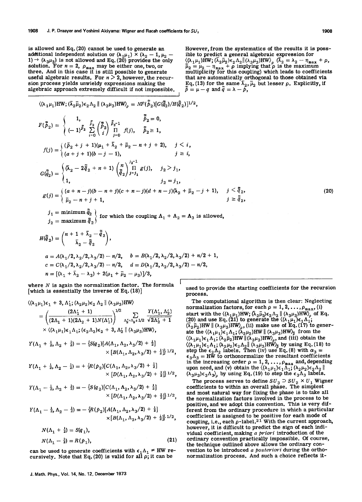is allowed and Eq. (20) cannot be used to generate an additional independent solution or  $(\lambda_1 \mu_1) \times (\lambda_2 - 1, \mu_2)$ 1)  $\rightarrow (\lambda_3\mu_3)$  is not allowed and Eq. (20) provides the only solution. For  $n = 2$ ,  $\rho_{\text{max}}$  may be either one, two, or three. And in this case it is still possible to generate useful algebraic results. For  $n > 2$ , how sion process yields unwieldy expressions making the algebraic approach extremely difficult if not impossible.

However, from the systematics of the results it is possible to predict a general algebraic expression for  $\langle (\lambda_1\mu_1)\hat{H}W; (\overline{\lambda}_2\overline{\mu}_2)\overline{\epsilon}_2\Lambda_2 || (\lambda_3\mu_3)HW \rangle_{\rho}$   $(\overline{\lambda}_2 = \lambda_2 - \eta_{max} + \rho,$  $\bar{\mu}_2 = \mu_2 - \eta_{\text{max}} + \rho$  implying that  $\rho$  is the maximum multiplicity for this coupling) which leads to coefficients that are automatically orthogonal to those obtained via Eq. (13) for the same  $\bar{\lambda}_2$ ,  $\bar{\mu}_2$  but lesser  $\rho$ . Explicitly, if  $\tilde{p} = \mu - q$  and  $\tilde{q} = \lambda - \tilde{p}$ ,

$$
\langle (\lambda_1 \mu_1) HW; (\bar{\lambda}_2 \bar{\mu}_2) \epsilon_2 \Lambda_2 \parallel (\lambda_3 \mu_3) HW \rangle_{\rho} = N \mathcal{F}(\tilde{\bar{p}}_2) [G(\tilde{\bar{q}}_2)/H(\tilde{\bar{q}}_2)]^{1/2},
$$
\n
$$
F(\tilde{\bar{p}}_2) = \begin{cases}\n1, & \tilde{\bar{p}}_2 \ \left(-1\right)^{\tilde{\bar{p}}_2} \sum_{i=0}^{\tilde{\bar{p}}_2} \binom{\tilde{\bar{p}}_2}{i} \frac{\tilde{\bar{p}}_2^{-1}}{1!} & \tilde{\bar{p}}_2 = 0, \\
(-1)^{\tilde{\bar{p}}_2} \sum_{i=0}^{\tilde{\bar{p}}_2} \binom{\tilde{\bar{p}}_2}{i} \frac{\tilde{\bar{p}}_2^{-1}}{1!} & f(j), & \tilde{\bar{p}}_2 \ge 1,\n\end{cases}
$$
\n
$$
f(j) = \begin{cases}\n(\bar{p}_2 + j + 1)(\mu_1 + \bar{\lambda}_2 + \bar{\mu}_2 - n + j + 2), & j < i, \\
(a + j + 1)(b - j - 1), & j \ge i, \\
(a + j + 1)(b - j - 1), & j \ge i,\n\end{cases}
$$
\n
$$
G(\tilde{\bar{q}}_2) = \begin{cases}\n(\bar{\lambda}_2 - 2\tilde{\bar{q}}_2 + n + 1) \left(\frac{n}{\tilde{q}}_2\right)^{\frac{j_2 - 1}{j - j_1}} & j_2 = j_1, \\
1, & j_2 = j_1, \\
\bar{\mu}_2 - n + j + 1, & j \ge j\n\end{cases}
$$
\n
$$
g(j) = \begin{cases}\n(a + n - j)(b - n + j)(c + n - j)(d + n - j)(\lambda_2 + \bar{\mu}_2 - j + 1), & j \ge j \ge j_1, \\
\bar{\mu}_2 - n + j + 1, & j \ge j\n\end{cases}
$$

 $j_{\,1}^{}=\hbox{minimum}~\tilde{\bar{q}}_{2}^{}\;\big\backslash$ for which the coupling  $\Lambda_1 + \Lambda_2 = \Lambda_3$  is allowed,  $j_{2}=\text{maximum } \tilde{\bar{q}}_{2}$ 

$$
H(\tilde{\tilde{q}}_2) = {n + 1 + \bar{\lambda}_2 - \tilde{\tilde{q}}_2 \choose \bar{\lambda}_2 - \tilde{\tilde{q}}_2},
$$
  
\n
$$
a = A(\lambda_1/2, \lambda_2/2, \lambda_3/2) - n/2, \quad b = B(\lambda_1/2, \lambda_2/2, \lambda_3/2) + n/2 + 1,
$$
  
\n
$$
c = C(\lambda_1/2, \lambda_2/2, \lambda_3/2) - n/2, \quad d = D(\lambda_1/2, \lambda_2/2, \lambda_3/2) - n/2,
$$
  
\n
$$
n = [(\lambda_1 + \bar{\lambda}_2 - \lambda_3) + 2(\mu_1 + \bar{\mu}_2 - \mu_3)]/3,
$$

where  $N$  is again the normalization factor. The formula [which is essentially the inverse of Eq. (18)]

$$
\langle (\lambda_1 \mu_1) \epsilon_1 + 3, \Lambda'_1; (\lambda_2 \mu_2) \epsilon_2 \Lambda_2 \parallel (\lambda_3 \mu_3)HW \rangle
$$
  
=  $\left( \frac{(2\Lambda'_1 + 1)}{(2\Lambda_1 + 1)(2\Lambda_2 + 1)N(\Lambda'_1)} \right)^{1/2} \sum_{\Lambda'_2 = \Lambda_2 + 1/2} \frac{Y(\Lambda'_1, \Lambda'_2)}{\sqrt{2\Lambda'_2 + 1}}$   
×  $\langle (\lambda_1 \mu_1) \epsilon_1 \Lambda_1; (\epsilon_2 \Lambda_2) \epsilon_2 + 3, \Lambda'_2 \parallel (\lambda_3 \mu_3)HW \rangle$ ,

$$
Y(\Lambda_1 + \frac{1}{2}, \Lambda_2 + \frac{1}{2}) = -\left\{S(q_2)[A(\Lambda_1, \Lambda_2, \lambda_3/2) + \frac{1}{2}]\right\}
$$
  
 
$$
\times [B(\Lambda_1, \Lambda_2, \lambda_3/2) + \frac{1}{2}]\right\}^{1/2},
$$

$$
Y(\Lambda_1+\tfrac{1}{2},\Lambda_2-\tfrac{1}{2})=+\{R(p_2)[C(\Lambda_1,\Lambda_2,\lambda_3/2)+\tfrac{1}{2}]\times[D(\Lambda_1,\Lambda_2,\lambda_3/2)+\tfrac{1}{2}]\}^{1/2},
$$

$$
Y(\Lambda_1-\tfrac{1}{2},\Lambda_2+\tfrac{1}{2})=-\{S(q_2)[C(\Lambda_1,\Lambda_2,\lambda_3/2)+\tfrac{1}{2}]\times[D(\Lambda_1,\Lambda_2,\lambda_3/2)+\tfrac{1}{2}]\}^{1/2},
$$

$$
Y(\Lambda_1 - \frac{1}{2}, \Lambda_2 - \frac{1}{2}) = -\left\{ R(p_2) [A(\Lambda_1, \Lambda_2, \lambda_3/2) + \frac{1}{2}] \right\} \times [B(\Lambda_1, \Lambda_2, \lambda_3/2) + \frac{1}{2}] \right\}^{1/2},
$$

$$
N(\Lambda_1 + \frac{1}{2}) = S(q_1),
$$
  
\n
$$
N(\Lambda_1 - \frac{1}{2}) = R(p_1),
$$
\n(21)

can be used to generate coefficients with  $\epsilon_1 \Lambda_1 \neq HW$  recursively. Note that Eq. (20) is valid for all  $\rho$ ; it can be

used to provide the starting coefficients for the recursion process.

 $\tilde{\bar{q}}_2$ ,  $\bar{\bar{q}}$   $_{2}$  ,

The computational algorithm is then clear: Neglecting normalization factors, for each  $\rho = 1, 2, \ldots, \rho_{\text{max}}$ , (i) start with the  $\langle (\lambda_1\mu_1)HW; (\overline{\lambda}_2\overline{\mu}_2)\epsilon_2\Lambda_2 \parallel (\lambda_3\mu_3)HW \rangle_{\rho}$  of Eq. (20) and use Eq. (21) to generate the  $((\lambda_1\mu_1)\epsilon_1\Lambda_1;$  $(\overline{\lambda}_2 \overline{\mu}_2)$ HW  $|| (\lambda_3 \overline{\mu}_3)$ HW)<sub>p</sub>, (ii) make use of Eq. (17) to generate the  $((\lambda_1\mu_1)\epsilon_1\Lambda_1; (\lambda_2\mu_2)$ HW  $\|\ (\lambda_3\mu_3)$ HW $\frac{1}{\rho}$  from the  $\langle (\lambda_1\mu_1)\epsilon_1\Lambda_1; (\lambda_2\mu_2)$ HW  $\|\langle \lambda_3\mu_3\rangle$ HW)<sub>p</sub>, and (iii) obtain the  $\langle (\lambda_1 \mu_1)\epsilon_1 \Lambda_1; (\lambda_2 \mu_2)\epsilon_2 \Lambda_2 \rangle \rangle \langle (\lambda_3 \mu_3) H W \rangle_{\tilde{\rho}}$  by using Eq. (18) to step the  $\epsilon_2 \Lambda_2$  labels. Then (iv) use Eq. (8) with  $\alpha_3 =$  $\epsilon_3 \Lambda_3 = H\bar{W}$  to orthonormalize the resultant coefficients in the increasing order  $\rho = 1, 2, ..., \rho_{\text{max}}$  and, depending upon need, and (v) obtain the  $\langle (\lambda_1 \mu_1)\epsilon_1 \Lambda_1; (\lambda_2 \mu_2)\epsilon_2 \Lambda_2 \rangle$   $\langle (\lambda_3 \mu_3)\epsilon_3 \Lambda_3 \rangle$  by using Eq. (19) to step the  $\epsilon_3 \Lambda_3$  labels.

The process serves to define  $SU_3 \supset SU_2 \times U_1$  Wigner coefficients to within an overall phase. The simplest and most natural way for fixing the phase is to take all the normalization factors involved in the process to be positive, and we adopt this convention. This is very different from the ordinary procedure in which a particular coefficient is assigned to be positive for each mode of coupling, i.e., each  $\rho$ -label.<sup>21</sup> With the current approach, however, it is difficult to predict the sign of each individual coefficient, making *a priori* introduction of the ordinary convention practically impossible. Of course, the technique outlined above allows the ordinary convention to be introduced *a posteriori* during the orthonormalization process. And such a choice reflects it-

(20)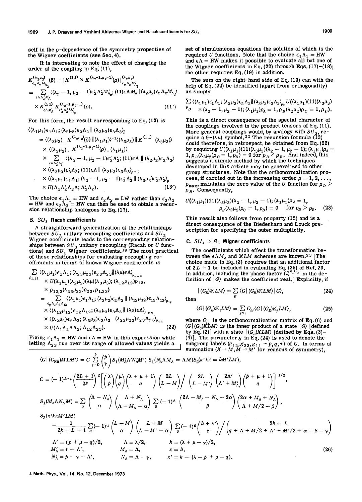self in the  $\rho$ -dependence of the symmetry properties of the Wigner coefficients (see Sec. 4).

It is interesting to note the effect of changing the order of the coupling in Eq. (11),

$$
K_{\epsilon_2 \Lambda_2 M_{\Lambda_2}}^{(\lambda_2 \mu_2)}(\tilde{\rho}) = [K^{(11)} \times K^{(\lambda_2 - 1, \mu_2 - 1)}(\rho)]_{\epsilon_2 \Lambda_2 M_{\Lambda_2}}^{(\lambda_2 \mu_2)}
$$
  
\n
$$
= \sum_{\epsilon \Lambda \Lambda_2 M_{\Lambda}} \langle (\lambda_2 - 1, \mu_2 - 1) \epsilon_2' \Lambda_2 M_{\Lambda_2}; (11) \epsilon \Lambda M_{\Lambda} | (\lambda_2 \mu_2) \epsilon_2 \Lambda_2 M_{\Lambda_2} \rangle
$$
  
\n
$$
\times K_{\epsilon \Lambda M_{\Lambda}}^{(11)} K_{\epsilon_2' \Lambda_2' M_{\Lambda_2}'}^{(\lambda_2 - 1, \mu_2 - 1)}(\rho).
$$
 (11')

For this form, the result corresponding to Eq. (13) is

$$
\langle (\lambda_1 \mu_1) \epsilon_1 \Lambda_1; (\lambda_2 \mu_2) \epsilon_2 \Lambda_2 \parallel (\lambda_3 \mu_3) \epsilon_3 \Lambda_3 \rangle_{\tilde{\rho}}
$$
  
\n=  $\langle (\lambda_3 \mu_3) \parallel K^{(\lambda_2 \mu_2)}(\tilde{\rho}) \parallel (\lambda_1 \mu_1) \rangle^{-1} \langle (\lambda_3 \mu_3) \parallel K^{(11)} \parallel (\lambda_3 \mu_3) \rangle$   
\n $\times \langle (\lambda_3 \mu_3) \parallel K^{(\lambda_2 - 1, \mu_2 - 1)}(\rho) \parallel (\lambda_1 \mu_1) \rangle$   
\n $\times \sum_{\epsilon \Lambda \Lambda_2' \Lambda_3'} \langle (\lambda_2 - 1, \mu_2 - 1) \epsilon_2' \Lambda_2'; (11) \epsilon \Lambda \parallel (\lambda_2 \mu_2) \epsilon_2 \Lambda_2 \rangle$   
\n $\times \langle (\lambda_3 \mu_3) \epsilon_3' \Lambda_3'; (11) \epsilon \Lambda \parallel (\lambda_3 \mu_3) \epsilon_3 \Lambda_3 \rangle_{\rho = 1}$   
\n $\times \langle (\lambda_1 \mu_1) \epsilon_1 \Lambda_1; (\lambda_2 - 1, \mu_2 - 1) \epsilon_2' \Lambda_2' \parallel (\lambda_3 \mu_3) \epsilon_3' \Lambda_3' \rangle_{\rho}$   
\n $\times U(\Lambda_1 \Lambda_2' \Lambda_3 \Lambda_1, \Lambda_3' \Lambda_2).$  (13')

The choice  $\epsilon_1\Lambda_1 = HW$  and  $\epsilon_2\Lambda_2 = LW$  rather than  $\epsilon_2\Lambda_2$ = HW and  $\epsilon_3 \bar{\Lambda}_3$  = HW can then be used to obtain a recur-<br>sion relationship analogous to Eq. (17).

#### B. SU*3* Racah coefficients

A straightforward generalization of the relationships between  $SU_2$  unitary recoupling coefficients and  $SU_2$ Wigner coefficients leads to the corresponding relationships between  $SU_3$  unitary recoupling (Racah or  $U$  functions) and  $SU_3$  Wigner coefficients.<sup>19</sup> The most practical of these relationships for evaluating recoupling coefficients in terms of known Wigner coefficients is

$$
\sum (\langle \lambda_1 \mu_1 \rangle \epsilon_1 \Lambda_1; (\lambda_{23} \mu_{23}) \epsilon_{23} \Lambda_{23} \| (\lambda \mu) \epsilon \Lambda_{\rho_{1,23}} \n\times U(\lambda_1 \mu_1)(\lambda_2 \mu_2)(\lambda \mu)(\lambda_3 \mu_3); (\lambda_{12} \mu_{12}) \rho_{12}, \n\times \rho_{12,3}(\lambda_{23} \mu_{23}) \rho_{23}, \rho_{1,23}) \n= \sum_{\epsilon_2 \Lambda_2 \Lambda_3 \Lambda_{12}} \langle (\lambda_1 \mu_1) \epsilon_1 \Lambda_1; (\lambda_2 \mu_2) \epsilon_2 \Lambda_2 \| (\lambda_{12} \mu_{12}) \epsilon_{12} \Lambda_{12} \rangle_{\rho_{12}} \n\times \langle (\lambda_{12} \mu_{12}) \epsilon_{12} \Lambda_{12}; (\lambda_3 \mu_3) \epsilon_3 \Lambda_3 \| (\lambda \mu) \epsilon \Lambda_{\rho_{12,3}} \n\times \langle (\lambda_2 \mu_2) \epsilon_2 \Lambda_2; (\lambda_3 \mu_3) \epsilon_3 \Lambda_3 \| (\lambda_2 \mu_{23}) \epsilon_{23} \Lambda_{23} \rangle_{\rho_{23}} \n\times U(\Lambda_1 \Lambda_2 \Lambda \Lambda_3; \Lambda_{12} \Lambda_{23}).
$$
\n(22)

Fixing  $\epsilon_1 \Lambda_1 = HW$  and  $\epsilon \Lambda = HW$  in this expression while letting  $\Lambda_{23}$  run over its range of allowed values yields a

set of simultaneous equations the solution of which is the required U functions. Note that the choice  $\epsilon_1 \Lambda_1 = HW$ and  $\epsilon \Lambda$  = HW makes it possible to evaluate all but one of the Wigner coefficients in Eq.  $(22)$  through Eqs.  $(17)-(18)$ ; the other requires Eq. (19) in addition.

The sum on the right-hand side of Eq. (13) can with the help of Eq. (22) be identified (apart from orthogonality) as simply

$$
\sum_{\rho} \langle (\lambda_1 \mu_1) \epsilon_1 \Lambda_1; (\lambda_2 \mu_2) \epsilon_2 \Lambda_2 \| (\lambda_3 \mu_3) \epsilon_3 \Lambda_3 \rangle_{\rho_0} U((\lambda_1 \mu_1)(11)(\lambda_3 \mu_3))
$$
  
\n
$$
\mu_{D} \times (\lambda_2 - 1, \mu_2 - 1); (\lambda_1 \mu_1) \rho_A = 1, \rho_B (\lambda_2 \mu_2) \rho_C = 1, \rho_D).
$$

This is a direct consequence of the special character of the couplings involved in the product tensors of Eq. (11). More general couplings would, by analogy with  $SU_2$ , require a  $9-(\lambda\mu)$  symbol.<sup>22</sup> The recursion formula (13) could therefore, in retrospect, be obtained from Eq. (22) by requiring  $U((\lambda_1\mu_1)(11)(\lambda_3\mu_3)(\lambda_2 - 1, \mu_2 - 1); (\lambda_1\mu_1)\rho_A = 1, \rho_B(\lambda_2\mu_2)\rho_C = 1, \rho_D) = 0$  for  $\rho_D \neq \rho_B$ . And indeed, this suggests a Simple method by which the techniques developed in this article may be generalized to other group structures. Note that the orthonormalization process, if carried out in the increasing order  $\rho = 1, 2, \ldots$ ,  $\rho_{\text{max}}$ , maintains the zero value of the *U* function for  $\rho_D$  $\rho_{\scriptscriptstyle B}$ . Consequently,

$$
U((\lambda_1\mu_1)(11)(\lambda_3\mu_3)(\lambda_2-1,\mu_2-1);(\lambda_1\mu_1)\rho_A=1,\\ \rho_B(\lambda_2\mu_2)\rho_C=1,\rho_D)=0 \text{ for } \rho_D > \rho_B.
$$
 (23)

This result also follows from property (15) and is a direct consequence of the Biedenharn and Louck prescription for specifying the outer multiplicity.

#### C.  $SU_3$   $\supset$  *R<sub>3</sub>* Wigner coefficients

The coefficients which effect the transformation between the  $\epsilon \Lambda M_{\Lambda}$  and  $\mathcal{K}LM$  schemes are known.<sup>23</sup> [The choice made in Eq. (3) requires that an additional factor of  $2L + 1$  be included in evaluating Eq. (35) of Ref. 23. In addition, including the phase factor  $(i)^{n_1+n_3}$  in the definition of  $|G\rangle$  makes the coefficient real. Explicitly, if

$$
|(G_E)\mathcal{K}LM\rangle = \sum \langle G|(G_E)\mathcal{K}LM\rangle |G\rangle, \qquad (24)
$$

then  $\frac{g}{g}$ 

$$
\langle G | (G_E) \mathcal{K}_i LM \rangle = \sum_{j=i} O_{ij} \langle G | (G_E) K_j LM \rangle, \qquad (25)
$$

where  $O_{ij}$  is the orthonormalization matrix of Eq. (6) and  $\langle G | (G_E) KLM \rangle$  is the inner product of a state  $|G\rangle$  [defined by Eq. (2)] with a state  $|(G_E)KLM\rangle$  [defined by Eqs. (3)-(4)]. The parameter g in Eq. (24) is used to denote the subgroup labels  $(g_{12},g_{22},g_{11} \sim p,q,r)$  of G. In terms of summation  $(K \to M, M \to M')$  for reasons of symmetry),

$$
\langle G| (G_{HW})MLM' \rangle = C \sum_{\gamma=0}^{p} {p \choose \gamma} S_1(M'_{\Lambda}\Lambda' N'_{\Lambda}M') S_1(N_{\Lambda}\Lambda M_{\Lambda} = \Lambda M) S_2(\kappa' k\kappa = kM'LM),
$$
  
\n
$$
C = (-1)^{L-p} \left(\frac{2L+1}{2^p}\right)^2 \left[ { \lambda \choose p} { \mu \choose q} {\lambda + \mu + 1 \choose q} {\lambda + \mu + 1 \choose L-M} \left( {2L \choose L-M'} \left( {2\Lambda' \over \Lambda' + M'_{\Lambda}} \right)^{p + \mu + 1} \right) \right]^{1/2},
$$
  
\n
$$
S_1(M_{\Lambda}\Lambda N_{\Lambda}M) = \sum_{\alpha} { \lambda - N_{\Lambda} \choose \alpha} {\lambda + N_{\Lambda} \choose \alpha - M_{\Lambda} - \alpha} \sum_{\beta} (-1)^{\beta} {2\Lambda - M_{\Lambda} - N_{\Lambda} - 2\alpha \choose \beta} {2\alpha + M_{\Lambda} + N_{\Lambda} \choose \lambda + M/2 - \beta},
$$
  
\n
$$
S_2(\kappa' k\kappa M'LM)
$$
  
\n
$$
= \frac{1}{2k + L + 1} \sum_{\alpha} (-1)^{\alpha} {L - M \choose \alpha} {\lambda + M \choose L-M' - \alpha} \sum_{\beta} (-1)^{\beta} { k + \kappa' \choose \beta} / { \left( q + \Lambda + M/2 + \Lambda' + M'/2 + \alpha - \beta - \gamma \right)}
$$
  
\n
$$
\Lambda' = (p + \mu - q)/2, \qquad \Lambda = \lambda/2, \qquad k = (\lambda + \mu - \gamma)/2,
$$
  
\n
$$
M'_{\Lambda} = r - \Lambda', \qquad M_{\Lambda} = \Lambda, \qquad \kappa = k,
$$
  
\n
$$
N'_{\Lambda} = p - \gamma - \Lambda', \qquad N_{\Lambda} = \Lambda - \gamma, \qquad \kappa' = k - (\lambda - p + \mu - q).
$$
  
\n(26)

J. Math. Phys., Vol. 14, No. 12, December 1973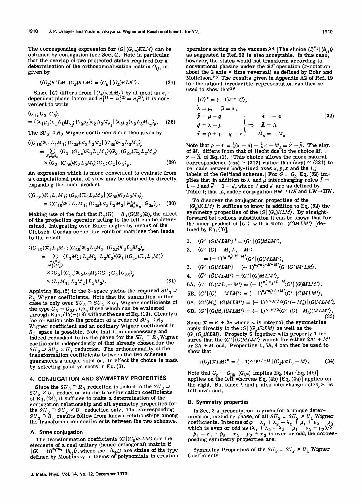The corresponding expression for  $\langle G | (G_{LW}) KLM \rangle$  can be obtained by conjugation (see Sec.4). Note in particular that the overlap of two projected states required for a determination of the orthonormalization matrix  $O_{ij}$ , is given by

$$
\langle (G_E)K'LM | (G_E)KLM \rangle = \langle G_E | (G_E)KLK' \rangle. \tag{27}
$$

Since  $|G\rangle$  differs from  $|(\lambda\mu)\in\Lambda M_{\Lambda}\rangle$  by at most an  $n_i$ . dependent phase factor and  $n_1^{(1)} + n_2^{(2)} = n_1^{(3)}$ , it is convenient to write

$$
\langle G_1; G_2 | G_3 \rangle_{\rho}
$$
  
=  $\langle (\lambda_1 \mu_1) \epsilon_1 \Lambda_1 M_{\Lambda_1}; (\lambda_2 \mu_2) \epsilon_2 \Lambda_2 M_{\Lambda_2} | (\lambda_3 \mu_3) \epsilon_3 \Lambda_3 M_{\Lambda_3} \rangle_{\rho}$ . (28)

The  $SU_3 \supset R_3$  Wigner coefficients are then given by

$$
\langle (G_{1E})\mathcal{K}_1 L_1 M_1; (G_{2E})\mathcal{K}_2 L_2 M_2 | (G_{3E})\mathcal{K}_3 L_3 M_3 \rangle_{\rho} \n= \sum_{\mathcal{S}_1 \mathcal{S}_2 \mathcal{S}_3} \langle G_1 | (G_{1E})\mathcal{K}_1 L_1 M_1 \rangle \langle G_2 | (G_{2E})\mathcal{K}_2 L_2 M_2 \rangle \n\times \langle G_3 | (G_{3E})\mathcal{K}_3 L_3 M_3 \rangle \langle G_1; G_2 | G_3 \rangle_{\rho}.
$$
\n(29)

An expression which is more convenient to evaluate from a computational point of view may be obtained by directly expanding the inner product

$$
\langle (G_{1E})\mathcal{K}_1 L_1 M_1; (G_{2E})\mathcal{K}_2 L_2 M_2 | (G_{3E}) K_3 L_3 M_3 \rangle_{\rho}
$$
  
=  $\langle (G_{1E})\mathcal{K}_1 L_1 M_1; (G_{2E})\mathcal{K}_2 L_2 M_2 | P_{M_3 K_3}^{L_3} | G_{3E} \rangle_{\rho}.$  (30)

Making use of the fact that  $R_3(\Omega) = R_1(\Omega)R_2(\Omega)$ , the effect of the projection operator acting to the left can be determined. Integrating over Euler angles by means of the Clebsch-Gordan series for rotation matrices then leads to the result

$$
\langle (G_{1E})\mathcal{K}_1 L_1 M_1; (G_{2E})\mathcal{K}_2 L_2 M_2 | (G_{3E}) K_3 L_3 M_3 \rangle_{\rho} \n= \sum_{\substack{\mathcal{S}_1 \mathcal{S}_2 \\ M_1(M_2')}} \langle L_1 M_1'; L_2 M_2' | L_3 K_3 \rangle \langle G_1 | (G_{1E})\mathcal{K}_1 L_1 M_1' \rangle \n\times \langle G_2 | (G_{2E})\mathcal{K}_2 L_2 M_2' \rangle \langle G_1; G_2 | G_{3E} \rangle_{\rho} \n\times \langle L_1 M_1; L_2 M_2 | L_3 M_3 \rangle.
$$
\n(31)

Applying Eq. (5) to the 3-space yields the required  $SU_3$  $R_3$  Wigner coefficients. Note that the summation in this case is only over  $SU_3 \supset SU_2 \times U_1$  Wigner coefficients of the type  $G_3 = G_{3E}$ , i.e., those which can be evaluated through Eqs. (17)-(18) without the use of Eq. (19). Clearly a factorization into the product of a reduced  $SU_3 \supset R_3$ Wigner coefficient and an ordinary Wigner coefficient in  $R_3$  space is possible. Note that it is unnecessary and indeed redundant to fix the phase for the  $SU_3 \supset R_3$  Wigner coefficients independently of that already chosen for the  $SU_3 \supset SU_2 \times U_1$  reduction. The orthonormality of the transformation coefficients between the two schemes guarantees a unique solution. In effect the choice is made by selecting positive roots in Eq. (6).

# 4. CONJUGATION AND SYMMETRY PROPERTIES

Since the  $SU_3 \supset R_3$  reduction is linked to the  $SU_3 \supset$  $SU_2 \times U_1$  reduction via the transformation coefficients of  $\tilde{Eq.} (24)$ , it suffices to make a determination of the conjugation relationship and all symmetry properties for the  $SU_3$   $\supset$   $SU_2$   $\times$   $U_1$  reduction only. The corresponding  $SU_3$   $\supset$   $R_3$  results follow from known relationships among the transformation coefficients between the two schemes.

#### A. State conjugation

The transformation coefficients  $\langle G | (G_E) \mathcal{K} L M \rangle$  are the elements of a real unitary (hence orthogonal) matrix if  $|G\rangle = (i)^{n_1+n_3} |(h_{ij})\rangle$ , where the  $|(h_{ij})\rangle$  are states of the type defined by Moshinsky in terms of polynomials in creation

operators acting on the vacuum.<sup>24</sup> [The choice  $(i)^{n_2} | (h_{ij}) \rangle$ as suggested in Ref. 23 is also acceptable. In this case, however, the states would not transform according to conventional phasing under the  $R1$  operation ( $\pi$ -rotation about the 2 axis  $\times$  time reversal) as defined by Bohr and Mottelson.25] The results given in Appendix A2 of Ref. 19 for the adjoint irreducible representation can then be used to show that26

$$
|G\rangle^* = (-1)^{p-r}|\bar{G}\rangle,
$$
  
\n
$$
\tilde{\lambda} = \mu, \quad \tilde{\mu} = \lambda,
$$
  
\n
$$
\tilde{\rho} = \mu - q
$$
  
\n
$$
\tilde{q} = \lambda - p
$$
  
\n
$$
\tilde{r} = p + \mu - q - r
$$
\n
$$
\tilde{M}_{\Lambda} = -M_{\Lambda}
$$
\n(32)

Note that  $p - r = \frac{1}{3}(\lambda - \mu) - \frac{1}{6}\epsilon - M_A = \tilde{r} - \tilde{p}$ . The sign of  $M_A$  differs from that of Hecht due to the choice  $M_A = r - \Lambda$  of Eq. (1). [This choice allows the more natural correspondence (zxy) ~ (312) rather than (zxy) ~ (321) to be made between body-fixed axes  $x, y, z$  and the  $i, j$ labels of the Gel'fand scheme.] For  $G = G_E$  Eq. (32) implies that in addition to  $\lambda$  and  $\mu$  interchanging roles  $\tilde{I} =$  $1 - I$  and  $\bar{J} = 1 - J$ , where I and J are as defined by Table I; that is, under conjugation  $HW \rightarrow LW$  and  $LW \rightarrow HW$ .

To discover the conjugation properties of the  $|(G_E)\mathcal{K}LM\rangle$  it suffices to know in addition to Eq. (32) the symmetry properties of the  $\langle G | (G_E) KLM \rangle$ . By straightforward but tedious substitution it can be shown that for the inner product of  $|G'\rangle$  with a state  $|(GMLM')|$  [defined by Eq.  $(3)$ ],

1. 
$$
\langle G' | (G)MLM' \rangle^* = \langle G' | (G)MLM' \rangle
$$
,

2. 
$$
\langle G' | (G) - M, L, -M' \rangle
$$
  
=  $(-1)^{n_2-n'_2+M-M'} \langle G' | (G)MLM' \rangle$ ,

$$
3. \quad \langle G' | (G)MLM' \rangle = (-1)^{n_3-n'_3+M-M'} \langle G | (G')M'LM \rangle,
$$

4. 
$$
\langle \tilde{G}' | \langle \tilde{G} \rangle MLM' \rangle = \langle G' | \langle G \rangle MLM' \rangle
$$
,

5A. 
$$
\langle G' | (G)ML, -M' \rangle = (-1)^{n_1^t - n_3 + L + M} \langle G' | (G)MLM' \rangle
$$
,

5B.  $\langle G' | (G) - MLM' \rangle = (-1)^{n_1 - n'_3 + L + M'} \langle G' | (G) MLM' \rangle$ ,

6A. 
$$
\langle G'(M'_{\Lambda})|(G)MLM'\rangle = (-1)^{\Lambda'+M'/2}\langle G'(-M'_{\Lambda})|(G)MLM'\rangle
$$
,

6B. 
$$
\langle G' | (G(M_{\Lambda}))MLM' \rangle = (-1)^{\Lambda + M/2} \langle G' | (G(-M_{\Lambda}))MLM' \rangle
$$
.

$$
(33)
$$

Since  $K = K + 2n$  where *n* is integral, the symmetries apply directly to the  $\langle G | (G_E) \mathcal{R} L M \rangle$  as well as the  $\langle G | (G_E) KLM \rangle$ . Property 6 together with property 1 insures that the  $\langle G' | (G)MLM' \rangle$  vanish for either  $2\Lambda' + M'$ or  $2\Lambda + M$  odd. Properties 1, 5A, 4 can then be used to show that

$$
|(G_E)\mathcal{K}LM\rangle^* = (-1)^{\lambda+\mu+L-M} |(\tilde{G}_E)\mathcal{K}L,-M\rangle.
$$
 (34)

Note that  $G_E = G_{HW}$  ( $G_{LW}$ ) implies Eq. (4a) [Eq. (4b)]<br>applies on the left whereas Eq. (4b) [Eq. (4a)] applies on the right. But since  $\lambda$  and  $\mu$  also interchange roles,  $\mathcal K$  is left invariant.

#### B. Symmetry properties

In Sec. 3 a prescription is given for a unique determination, including phase, of all  $SU_3 \supset SU_2 \times U_1$  Wigner coefficients. In terms of  $\varphi = \lambda_1 + \lambda_2 - \lambda_3 + \mu_1 + \mu_2 - \mu_3$ which is even or odd as  $(\lambda_1 + \lambda_2 - \lambda_3 - \mu_1 - \mu_2 + \mu_3)/3$  $= p_1 - r_1 + p_2 - r_2 - p_3 + r_3$  is even or odd, the corres-<br>ponding symmetry properties are:

Symmetry Properties of the  $SU_3 \supset SU_2 \times U_1$  Wigner **Coefficients**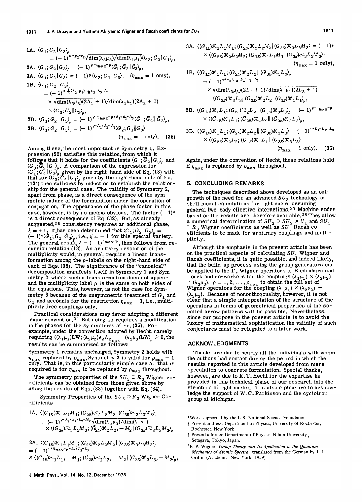1A. 
$$
\langle G_1; G_2 | G_3 \rangle_{\rho}
$$
  
\t=  $(-1)^{\varphi + \rho_2 - r_2} \sqrt{\dim(\lambda_3 \mu_3)/\dim(\lambda_1 \mu_1)} \langle G_3; \tilde{G}_2 | G_1 \rangle_{\rho}$ ,  
\t2A.  $\langle G_1; G_2 | G_3 \rangle_{\rho} = (-1)^{\varphi + \eta_{\max} - \rho} \langle \tilde{G}_1; \tilde{G}_2 | \tilde{G}_3 \rangle_{\rho}$ ,  
\t3A.  $\langle G_1; G_2 | G_3 \rangle = (-1)^{\varphi + \eta_{\max} - \rho} \langle \tilde{G}_1; \tilde{G}_2 | \tilde{G}_3 \rangle_{\rho}$ ,  
\t1B.  $\langle G_1; G_2 | G_3 \rangle_{\rho}$   
\t=  $(-1)^{\varphi + \frac{1}{3}(\lambda_2 - \mu_2) - \frac{1}{6} \epsilon_2 + \lambda_3 - \Lambda_1}$   
\t $\times \sqrt{\dim(\lambda_3 \mu_3)(2\Lambda_1 + 1)/\dim(\lambda_1 \mu_1)(2\Lambda_3 + 1)}$   
\t $\times \langle G_3; \tilde{G}_2 || G_3 \rangle_{\rho}$ ,  
\t2B.  $\langle G_1; G_2 || G_3 \rangle_{\rho} = (-1)^{\varphi + \eta_{\max} - \rho + \Lambda_1 + \Lambda_2 - \Lambda_3} \langle \tilde{G}_1; \tilde{G}_2 || \tilde{G}_3 \rangle_{\rho}$ ,  
\t3B.  $\langle G_1; G_2 || G_3 \rangle_{\rho} = (-1)^{\varphi + \Lambda_1 + \Lambda_2 - \Lambda_3} \langle G_2; G_1 || G_3 \rangle$   
\t $\langle \eta_{\max} = 1 \text{ only} \rangle$ . (35)

Among these, the most important is Symmetry 1. Expression (20) satisfies this relation, from which it follows that it holds for the coefficients  $\langle G_1, \overline{G}_2 | G_3 \rangle$  and  $\langle G_3, \overline{G}_2 | G_1 \rangle$ . A comparison of the expression for position of product  $G_3$ .  $\langle G_1, G_2 | G_3 \rangle$  given by the right-hand side of Eq. (13) with that for  $\langle \tilde{G}_3, \tilde{G}_2 | G_1 \rangle$  given by the right-hand side of Eq. (13') then sufficies by induction to establish the relationship for the general case. The validity of Symmetry 2, apart from phase, is a direct consequence of the symmetric nature of the formulation under the operation of conjugation. The appearance of the phase factor in this case, however, is by no means obvious. The factor  $(-1)^{\varphi}$ is a direct consequence of Eq. (32). But, as already suggested, $26$  consistency requires an additional phase,  $\xi = \pm 1$ . It has been determined that  $\langle G_1, \overline{G}_2 | G_3 \rangle_{\rho} =$  $(-1)^{\varphi}(\tilde{G}_1;\tilde{\tilde{G}}_2|\tilde{G}_3\rangle_p, i.e., \xi = +1$  for this special variety. The general result,  $\xi = (-1)^{\eta_{\max} - \rho}$ , then follows from recursion relation (13). An arbitrary resolution of the multiplicity would, in general, require a linear transformation among the  $\rho$ -labels on the right-hand side of each of Eqs. (35). The Significance of the "canonical" decomposition manifests itself in Symmetry 1 and Symmetry 2, where such a transformation does not appear and the multiplicity label  $\rho$  is the same on both sides of the equations. This, however, is not the case for Symmetry 3 because of the unsymmetric treatment of  $G_1$  and  $G_2$  and accounts for the restriction  $\eta_{\text{max}} = 1$ , i.e., multiplicity free couplings only.

Practical considerations may favor adopting a different phase convention.<sup>21</sup> But doing so requires a modification in the phases for the symmetries of Eq. (35). For example, under the convention adopted by Hecht, namely requiring  $\langle (\lambda_1 \mu_1) L W$ ;  $(\lambda_2 \mu_2) \epsilon_2 \Lambda_2_{max} || (\lambda_3 \mu_3) L W \rangle_\rho > 0$ , the results can be summarized as follows:

Symmetry 1 remains unchanged, Symmetry 2 holds with  $\eta_{\text{max}}$  replaced by  $\rho_{\text{max}}$ , Symmetry 3 is valid for  $\rho_{\text{max}} = 1$  only. That is, in this particularly simple case all that is required is for  $\eta_{\text{max}}$  to be replaced by  $\rho_{\text{max}}$  throughout.

The symmetry properties of the  $SU_3 \supset R_3$  Wigner coefficients can be obtained from those given above by using the results of Eqs. (33) together with Eq. (34).

Symmetry Properties of the  $SU_3 \supset R_3$  Wigner Coefficients

1A. 
$$
\langle (G_{1E})\mathcal{K}_1L_1M_1; (G_{2E})\mathcal{K}_2L_2M_2 | (G_{3E})\mathcal{K}_3L_3M_3 \rangle_{\rho}
$$
  
=  $(-1)^{\varphi+\lambda_2+\mu_2+\lambda_2+M_2} \sqrt{\dim(\lambda_3\mu_3)/\dim(\lambda_1\mu_1)}$   
×  $\langle (G_{3E})\mathcal{K}_3L_3M_3; (\tilde{G}_{2E})\mathcal{K}_2L_2, -M_2 | (G_{3E})\mathcal{K}_3L_3M_3 \rangle_{\rho}$ 

**2A.** 
$$
\langle (G_{1E})\mathcal{K}_1 L_1 M_1; (G_{2E})\mathcal{K}_2 L_2 M_2 | (G_{3E})\mathcal{K}_3 L_3 M_3 \rangle_\rho
$$
  
=  $(-1)^{\varphi+\eta_{\max}-\rho+L_1+L_2-L_3}$   
 $\times \langle (\tilde{G}_{1E})\mathcal{K}_1 L_1, -M_1; (\tilde{G}_{2E})\mathcal{K}_2 L_2, -M_2 | (\tilde{G}_{3E})\mathcal{K}_3 L_3, -M_3 \rangle_\rho$ ,

3A. 
$$
\langle (G_{1E})\mathcal{K}_1 L_1 M_1; (G_{2E})\mathcal{K}_2 L_2 M_2 | (G_{3E})\mathcal{K}_3 L_3 M_3 \rangle = (-1)^{\varphi}
$$
  
  $\times \langle (G_{2E})\mathcal{K}_2 L_2 M_2; (G_{1E})\mathcal{K}_1 L_1 M_1 | (G_{3E})\mathcal{K}_3 L_3 M_3 \rangle$   
  $(\eta_{\text{max}} = 1 \text{ only}),$ 

1B. 
$$
\langle (G_{1E})\mathcal{K}_1 L_1; (G_{2E})\mathcal{K}_2 L_2 | (G_{3E})\mathcal{K}_3 L_3 \rangle_\rho
$$
  
\n $= (-1)^{\varphi + \lambda_2 + \mu_2 + L_1 + L_2 - L_3}$   
\n $\times \sqrt{\dim(\lambda_3 \mu_3)(2L_1 + 1)/\dim(\lambda_1 \mu_1)(2L_3 + 1)}$   
\n $\langle (G_{3E})\mathcal{K}_3 L_3; (\tilde{G}_{2E})\mathcal{K}_2 L_2 | (G_{1E})\mathcal{K}_1 L_1 \rangle_\rho,$   
\n2B.  $\langle (G_{1E})\mathcal{K}_1 L_1; (G_{2F})\mathcal{K}_2 L_2 | (G_{3E})\mathcal{K}_3 L_3 \rangle_\rho = (-1)^{\varphi + \eta_{\max} - \rho}$   
\n $\times \langle (\tilde{G}_{1E})\mathcal{K}_1 L_1; (\tilde{G}_{2E})\mathcal{K}_2 L_2 | (G_{3E})\mathcal{K}_3 L_3 \rangle_\rho,$   
\n3B.  $\langle (G_{1E})\mathcal{K}_1 L_1; (G_{2E})\mathcal{K}_2 L_2 | (G_{3E})\mathcal{K}_3 L_3 \rangle = (-1)^{\varphi + L_1 + L_2 - L_3}$   
\n $\times \langle (G_{2E})\mathcal{K}_2 L_2; (G_{1E})\mathcal{K}_1 L_1 | (G_{3E})\mathcal{K}_3 L_3 \rangle$ 

$$
(\eta_{\text{max}}=1 \text{ only}). \quad (36)
$$

Again, under the convention of Hecht, these relations hold if  $\eta_{\text{max}}$  is replaced by  $\rho_{\text{max}}$  throughout.

#### 5. CONCLUDING REMARKS

The techniques described above developed as an outgrowth of the need for an advanced  $SU_3$  technology in shell model calculations for light nuclei assuming general two-body effective interactions.<sup>27</sup> Machine codes based on the results are therefore available.<sup>28</sup> They allow a numerical determination of  ${SU}_3^-\supseteq {SU}_2^-\times U_1^+$  and  ${SU}_3^+$  $\supset R$ <sub>3</sub> Wigner coefficients as well as  $SU_{3}^{-}$  Racah coefficients to be made for arbitrary couplings and multiplicity.

Although the emphasis in the present article has been on the practical aspects of calculating  $SU_3$  Wigner and Racah coefficients, it is quite possible, and indeed likely, that the build-up process using the group generators can be applied to the  $\Gamma_s$  Wigner operators of Biedenharn and Louck and co-workers for the couplings  $(\lambda_1\mu_1) \times (\overline{\lambda}_2\overline{\mu}_2)$  $\rightarrow (\lambda_3\mu_3)$ ,  $\rho = 1, 2, ..., \rho_{\text{max}}$  to obtain the full set of <br>Wigner operators for the coupling  $(\lambda_1\mu_1) \times (\lambda_2\mu_2) \rightarrow$  $(\lambda_3\mu_3)$ . Because of nonorthogonality, however, it is not clear that a simple interpretation of the structure of the operators in terms of geometrical properties of the socalled arrow patterns will be possible. Nevertheless, since our purpose in the present article is to avoid the luxury of mathematical sophistication the validity of such conjectures must be relegated to a later work.

#### ACKNOWLEDGMENTS

Thanks are due to nearly all the individuals with whom the authors had contact during the period in which the results reported in this article developed from mere speculation to concrete formulation. Special thanks, however, are due to K. T. Hecht for the expertise he provided in this technical phase of our research into the structure of light nuclei. It is also a pleasure to acknowledge the support of W. C. Parkinson and the cyclotron group at Michigan.

·Work supported by the U.S. National Science Foundation.

- t Present address: Department of Physics, University of Rochester, Rochester, New York.
- $\ddagger$  Present address: Department of Physics, Nihon University, Setagaya, Tokyo, Japan.
- IE. P. Wigner, *Group Theory and Its Application to the Quantum Mechanics of Atomic Spectra,* translated from the German by J. J. Griffin (Academic, New York, 1959).